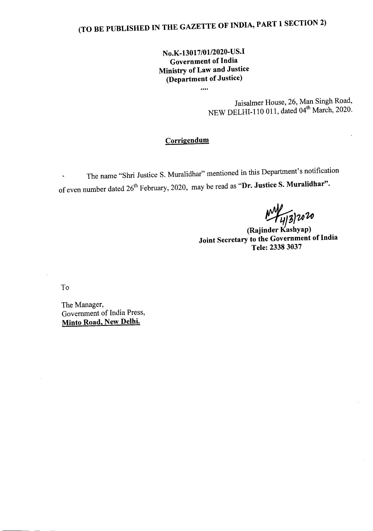# (TO BE PUBLISHED IN THE GAZETTE OF INDIA, PART 1 SECTION 2)

### No.K-13017/01/2020-US.I Government of India Ministry of Law and Justice (Department of Justice)

....

Jaisalmer House, 26, Man Singh Road, NEW DELHI-110 011, dated  $04^{\text{th}}$  March, 2020.

#### **Corrigendum**

The name "Shri Justice S. Muralidhar" mentioned in this Department's notification of even number dated 26<sup>th</sup> February, 2020, may be read as "Dr. Justice S. Muralidhar".

 $M_{4/3}^{2}$  2020<br>(Rajinder Kashyap)

Joint Secretary to the Government of India Tele: 23383037

To

The Manager, Government of India Press, Minto Road, New Delhi.